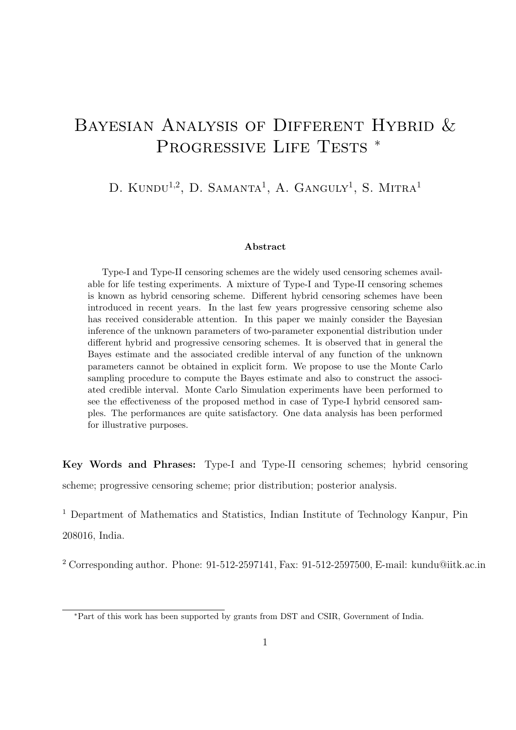# BAYESIAN ANALYSIS OF DIFFERENT HYBRID & PROGRESSIVE LIFE TESTS <sup>\*</sup>

D. KUNDU<sup>1,2</sup>, D. SAMANTA<sup>1</sup>, A. GANGULY<sup>1</sup>, S. MITRA<sup>1</sup>

#### **Abstract**

Type-I and Type-II censoring schemes are the widely used censoring schemes available for life testing experiments. A mixture of Type-I and Type-II censoring schemes is known as hybrid censoring scheme. Different hybrid censoring schemes have been introduced in recent years. In the last few years progressive censoring scheme also has received considerable attention. In this paper we mainly consider the Bayesian inference of the unknown parameters of two-parameter exponential distribution under different hybrid and progressive censoring schemes. It is observed that in general the Bayes estimate and the associated credible interval of any function of the unknown parameters cannot be obtained in explicit form. We propose to use the Monte Carlo sampling procedure to compute the Bayes estimate and also to construct the associated credible interval. Monte Carlo Simulation experiments have been performed to see the effectiveness of the proposed method in case of Type-I hybrid censored samples. The performances are quite satisfactory. One data analysis has been performed for illustrative purposes.

**Key Words and Phrases:** Type-I and Type-II censoring schemes; hybrid censoring scheme; progressive censoring scheme; prior distribution; posterior analysis.

<sup>1</sup> Department of Mathematics and Statistics, Indian Institute of Technology Kanpur, Pin 208016, India.

<sup>2</sup> Corresponding author. Phone: 91-512-2597141, Fax: 91-512-2597500, E-mail: kundu@iitk.ac.in

*<sup>∗</sup>*Part of this work has been supported by grants from DST and CSIR, Government of India.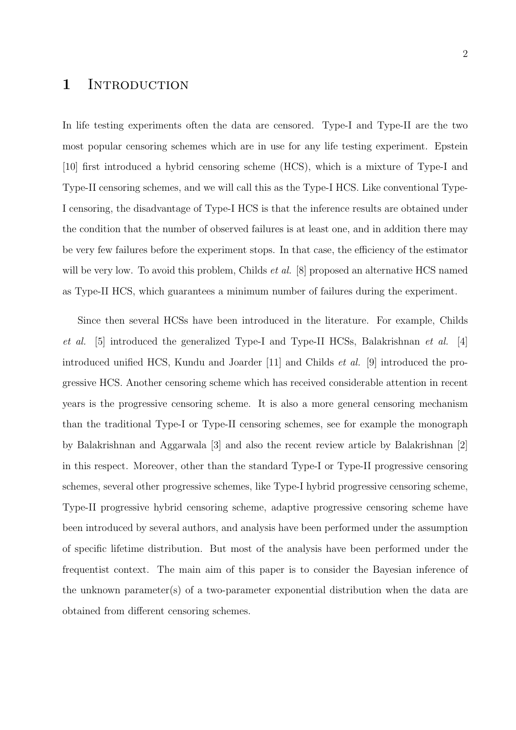## 1 INTRODUCTION

In life testing experiments often the data are censored. Type-I and Type-II are the two most popular censoring schemes which are in use for any life testing experiment. Epstein [10] first introduced a hybrid censoring scheme (HCS), which is a mixture of Type-I and Type-II censoring schemes, and we will call this as the Type-I HCS. Like conventional Type-I censoring, the disadvantage of Type-I HCS is that the inference results are obtained under the condition that the number of observed failures is at least one, and in addition there may be very few failures before the experiment stops. In that case, the efficiency of the estimator will be very low. To avoid this problem, Childs *et al.* [8] proposed an alternative HCS named as Type-II HCS, which guarantees a minimum number of failures during the experiment.

Since then several HCSs have been introduced in the literature. For example, Childs *et al.* [5] introduced the generalized Type-I and Type-II HCSs, Balakrishnan *et al.* [4] introduced unified HCS, Kundu and Joarder [11] and Childs *et al.* [9] introduced the progressive HCS. Another censoring scheme which has received considerable attention in recent years is the progressive censoring scheme. It is also a more general censoring mechanism than the traditional Type-I or Type-II censoring schemes, see for example the monograph by Balakrishnan and Aggarwala [3] and also the recent review article by Balakrishnan [2] in this respect. Moreover, other than the standard Type-I or Type-II progressive censoring schemes, several other progressive schemes, like Type-I hybrid progressive censoring scheme, Type-II progressive hybrid censoring scheme, adaptive progressive censoring scheme have been introduced by several authors, and analysis have been performed under the assumption of specific lifetime distribution. But most of the analysis have been performed under the frequentist context. The main aim of this paper is to consider the Bayesian inference of the unknown parameter(s) of a two-parameter exponential distribution when the data are obtained from different censoring schemes.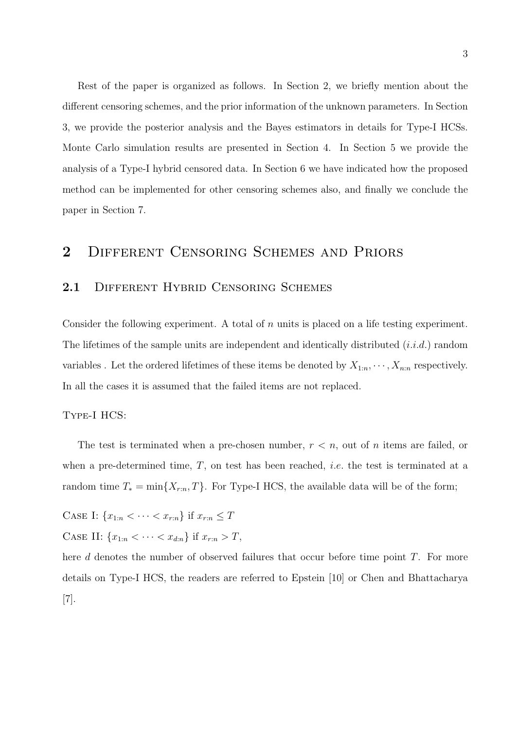Rest of the paper is organized as follows. In Section 2, we briefly mention about the different censoring schemes, and the prior information of the unknown parameters. In Section 3, we provide the posterior analysis and the Bayes estimators in details for Type-I HCSs. Monte Carlo simulation results are presented in Section 4. In Section 5 we provide the analysis of a Type-I hybrid censored data. In Section 6 we have indicated how the proposed method can be implemented for other censoring schemes also, and finally we conclude the paper in Section 7.

## **2** Different Censoring Schemes and Priors

## 2.1 DIFFERENT HYBRID CENSORING SCHEMES

Consider the following experiment. A total of *n* units is placed on a life testing experiment. The lifetimes of the sample units are independent and identically distributed (*i.i.d.*) random variables . Let the ordered lifetimes of these items be denoted by  $X_{1:n}, \dots, X_{n:n}$  respectively. In all the cases it is assumed that the failed items are not replaced.

#### Type-I HCS:

The test is terminated when a pre-chosen number, *r < n*, out of *n* items are failed, or when a pre-determined time, *T*, on test has been reached, *i.e.* the test is terminated at a random time  $T_* = \min\{X_{r:n}, T\}$ . For Type-I HCS, the available data will be of the form;

CASE I:  ${x_{1:n} < \cdots < x_{r:n}}$  if  $x_{r:n} \le T$ CASE II:  ${x_{1:n} < \cdots < x_{d:n}}$  if  $x_{r:n} > T$ ,

here *d* denotes the number of observed failures that occur before time point *T*. For more details on Type-I HCS, the readers are referred to Epstein [10] or Chen and Bhattacharya [7].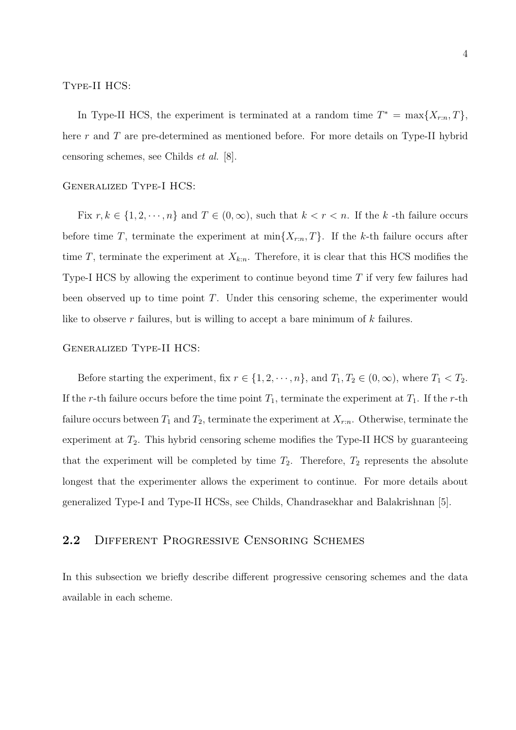### Type-II HCS:

In Type-II HCS, the experiment is terminated at a random time  $T^* = \max\{X_{r:n}, T\}$ , here *r* and *T* are pre-determined as mentioned before. For more details on Type-II hybrid censoring schemes, see Childs *et al.* [8].

### Generalized Type-I HCS:

Fix  $r, k \in \{1, 2, \dots, n\}$  and  $T \in (0, \infty)$ , such that  $k < r < n$ . If the  $k$ -th failure occurs before time *T*, terminate the experiment at  $\min\{X_{r:n}, T\}$ . If the *k*-th failure occurs after time *T*, terminate the experiment at  $X_{k:n}$ . Therefore, it is clear that this HCS modifies the Type-I HCS by allowing the experiment to continue beyond time *T* if very few failures had been observed up to time point *T*. Under this censoring scheme, the experimenter would like to observe *r* failures, but is willing to accept a bare minimum of *k* failures.

#### Generalized Type-II HCS:

Before starting the experiment, fix  $r \in \{1, 2, \dots, n\}$ , and  $T_1, T_2 \in (0, \infty)$ , where  $T_1 < T_2$ . If the *r*-th failure occurs before the time point  $T_1$ , terminate the experiment at  $T_1$ . If the *r*-th failure occurs between  $T_1$  and  $T_2$ , terminate the experiment at  $X_{r:n}$ . Otherwise, terminate the experiment at  $T_2$ . This hybrid censoring scheme modifies the Type-II HCS by guaranteeing that the experiment will be completed by time  $T_2$ . Therefore,  $T_2$  represents the absolute longest that the experimenter allows the experiment to continue. For more details about generalized Type-I and Type-II HCSs, see Childs, Chandrasekhar and Balakrishnan [5].

## **2.2** Different Progressive Censoring Schemes

In this subsection we briefly describe different progressive censoring schemes and the data available in each scheme.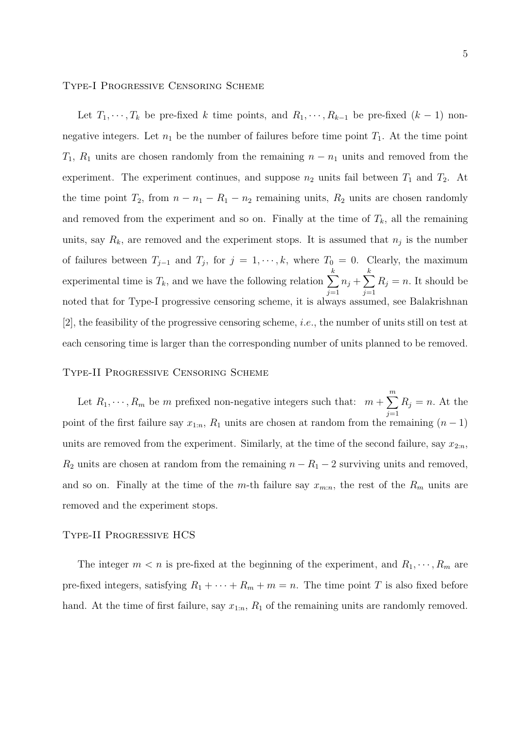#### Type-I Progressive Censoring Scheme

Let  $T_1, \dots, T_k$  be pre-fixed *k* time points, and  $R_1, \dots, R_{k-1}$  be pre-fixed  $(k-1)$  nonnegative integers. Let  $n_1$  be the number of failures before time point  $T_1$ . At the time point  $T_1$ ,  $R_1$  units are chosen randomly from the remaining  $n - n_1$  units and removed from the experiment. The experiment continues, and suppose  $n_2$  units fail between  $T_1$  and  $T_2$ . At the time point  $T_2$ , from  $n - n_1 - R_1 - n_2$  remaining units,  $R_2$  units are chosen randomly and removed from the experiment and so on. Finally at the time of  $T_k$ , all the remaining units, say  $R_k$ , are removed and the experiment stops. It is assumed that  $n_j$  is the number of failures between  $T_{j-1}$  and  $T_j$ , for  $j = 1, \dots, k$ , where  $T_0 = 0$ . Clearly, the maximum experimental time is  $T_k$ , and we have the following relation  $\sum$ *k j*=1  $n_j + \sum$ *k j*=1  $R_j = n$ . It should be noted that for Type-I progressive censoring scheme, it is always assumed, see Balakrishnan [2], the feasibility of the progressive censoring scheme, *i.e.*, the number of units still on test at each censoring time is larger than the corresponding number of units planned to be removed.

#### Type-II Progressive Censoring Scheme

Let  $R_1, \dots, R_m$  be *m* prefixed non-negative integers such that:  $m + \sum_{n=1}^{m}$ *j*=1  $R_j = n$ . At the point of the first failure say  $x_{1:n}$ ,  $R_1$  units are chosen at random from the remaining  $(n-1)$ units are removed from the experiment. Similarly, at the time of the second failure, say  $x_{2:n}$ ,  $R_2$  units are chosen at random from the remaining  $n - R_1 - 2$  surviving units and removed, and so on. Finally at the time of the *m*-th failure say  $x_{m:n}$ , the rest of the  $R_m$  units are removed and the experiment stops.

#### Type-II Progressive HCS

The integer  $m < n$  is pre-fixed at the beginning of the experiment, and  $R_1, \dots, R_m$  are pre-fixed integers, satisfying  $R_1 + \cdots + R_m + m = n$ . The time point *T* is also fixed before hand. At the time of first failure, say  $x_{1:n}$ ,  $R_1$  of the remaining units are randomly removed.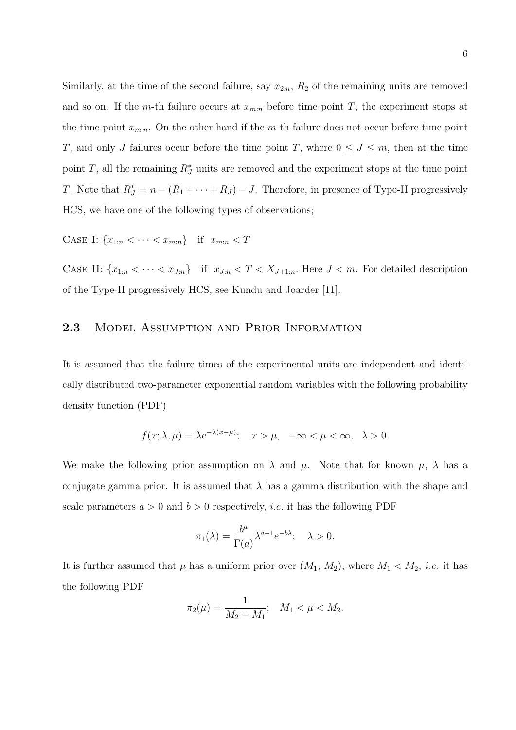Similarly, at the time of the second failure, say  $x_{2:n}$ ,  $R_2$  of the remaining units are removed and so on. If the *m*-th failure occurs at  $x_{m:n}$  before time point *T*, the experiment stops at the time point  $x_{m:n}$ . On the other hand if the *m*-th failure does not occur before time point *T*, and only *J* failures occur before the time point *T*, where  $0 \leq J \leq m$ , then at the time point *T*, all the remaining  $R_J^*$  units are removed and the experiment stops at the time point *T*. Note that  $R_J^* = n - (R_1 + \cdots + R_J) - J$ . Therefore, in presence of Type-II progressively HCS, we have one of the following types of observations;

CASE I:  ${x_{1:n} < \cdots < x_{m:n}}$  if  $x_{m:n} < T$ 

CASE II:  $\{x_{1:n} < \cdots < x_{J:n}\}$  if  $x_{J:n} < T < X_{J+1:n}$ . Here  $J < m$ . For detailed description of the Type-II progressively HCS, see Kundu and Joarder [11].

## **2.3** Model Assumption and Prior Information

It is assumed that the failure times of the experimental units are independent and identically distributed two-parameter exponential random variables with the following probability density function (PDF)

$$
f(x; \lambda, \mu) = \lambda e^{-\lambda(x-\mu)}; \quad x > \mu, \quad -\infty < \mu < \infty, \quad \lambda > 0.
$$

We make the following prior assumption on  $\lambda$  and  $\mu$ . Note that for known  $\mu$ ,  $\lambda$  has a conjugate gamma prior. It is assumed that  $\lambda$  has a gamma distribution with the shape and scale parameters  $a > 0$  and  $b > 0$  respectively, *i.e.* it has the following PDF

$$
\pi_1(\lambda) = \frac{b^a}{\Gamma(a)} \lambda^{a-1} e^{-b\lambda}; \quad \lambda > 0.
$$

It is further assumed that  $\mu$  has a uniform prior over  $(M_1, M_2)$ , where  $M_1 < M_2$ , *i.e.* it has the following PDF

$$
\pi_2(\mu) = \frac{1}{M_2 - M_1}; \quad M_1 < \mu < M_2.
$$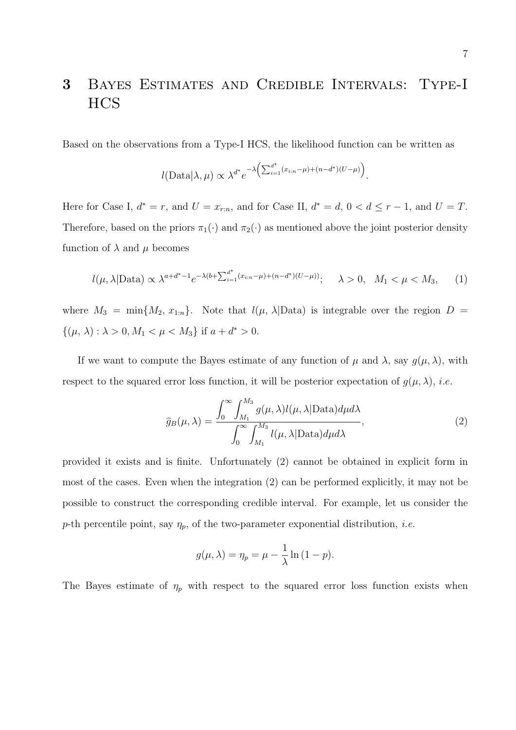# **3** Bayes Estimates and Credible Intervals: Type-I HCS

Based on the observations from a Type-I HCS, the likelihood function can be written as

$$
l(\text{Data}|\lambda,\mu) \propto \lambda^{d^*} e^{-\lambda \left(\sum_{i=1}^{d^*}(x_{i:n}-\mu)+(n-d^*)(U-\mu)\right)}.
$$

Here for Case I,  $d^* = r$ , and  $U = x_{r:n}$ , and for Case II,  $d^* = d$ ,  $0 < d \leq r-1$ , and  $U = T$ . Therefore, based on the priors  $\pi_1(\cdot)$  and  $\pi_2(\cdot)$  as mentioned above the joint posterior density function of  $\lambda$  and  $\mu$  becomes

$$
l(\mu, \lambda | \text{Data}) \propto \lambda^{a+d^*-1} e^{-\lambda(b+\sum_{i=1}^{d^*}(x_{i:n}-\mu)+(n-d^*)(U-\mu))}; \quad \lambda > 0, \quad M_1 < \mu < M_3,
$$
 (1)

where  $M_3 = \min\{M_2, x_{1:n}\}$ . Note that  $l(\mu, \lambda | \text{Data})$  is integrable over the region  $D =$  $\{(\mu, \lambda) : \lambda > 0, M_1 < \mu < M_3\}$  if  $a + d^* > 0$ .

If we want to compute the Bayes estimate of any function of  $\mu$  and  $\lambda$ , say  $g(\mu, \lambda)$ , with respect to the squared error loss function, it will be posterior expectation of  $g(\mu, \lambda)$ , *i.e.* 

$$
\widehat{g}_B(\mu,\lambda) = \frac{\int_0^\infty \int_{M_1}^{M_3} g(\mu,\lambda) l(\mu,\lambda | \text{Data}) d\mu d\lambda}{\int_0^\infty \int_{M_1}^{M_3} l(\mu,\lambda | \text{Data}) d\mu d\lambda},\tag{2}
$$

provided it exists and is finite. Unfortunately (2) cannot be obtained in explicit form in most of the cases. Even when the integration (2) can be performed explicitly, it may not be possible to construct the corresponding credible interval. For example, let us consider the *p*-th percentile point, say *ηp*, of the two-parameter exponential distribution, *i.e.*

$$
g(\mu, \lambda) = \eta_p = \mu - \frac{1}{\lambda} \ln (1 - p).
$$

The Bayes estimate of  $\eta_p$  with respect to the squared error loss function exists when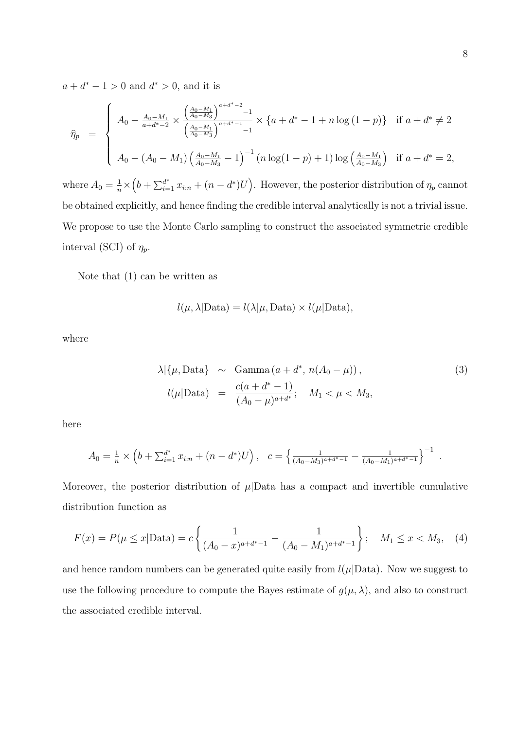$a + d^* - 1 > 0$  and  $d^* > 0$ , and it is

$$
\hat{\eta}_p = \begin{cases}\nA_0 - \frac{A_0 - M_1}{a + d^* - 2} \times \frac{\left(\frac{A_0 - M_1}{A_0 - M_3}\right)^{a + d^* - 2} - 1}{\left(\frac{A_0 - M_1}{A_0 - M_3}\right)^{a + d^* - 1} - 1} \times \left\{a + d^* - 1 + n \log\left(1 - p\right)\right\} & \text{if } a + d^* \neq 2 \\
A_0 - (A_0 - M_1) \left(\frac{A_0 - M_1}{A_0 - M_3} - 1\right)^{-1} \left(n \log\left(1 - p\right) + 1\right) \log\left(\frac{A_0 - M_1}{A_0 - M_3}\right) & \text{if } a + d^* = 2,\n\end{cases}
$$

where  $A_0 = \frac{1}{n} \times (b + \sum_{i=1}^{d^*} x_{i:n} + (n - d^*)U)$ . However, the posterior distribution of  $\eta_p$  cannot be obtained explicitly, and hence finding the credible interval analytically is not a trivial issue. We propose to use the Monte Carlo sampling to construct the associated symmetric credible interval (SCI) of  $\eta_p$ .

Note that (1) can be written as

$$
l(\mu, \lambda | \text{Data}) = l(\lambda | \mu, \text{Data}) \times l(\mu | \text{Data}),
$$

where

$$
\lambda | \{\mu, \text{Data}\} \sim \text{Gamma}(a + d^*, n(A_0 - \mu)),
$$
\n
$$
l(\mu | \text{Data}) = \frac{c(a + d^* - 1)}{(A_0 - \mu)^{a + d^*}}; \quad M_1 < \mu < M_3,
$$
\n
$$
(3)
$$

here

$$
A_0 = \frac{1}{n} \times \left( b + \sum_{i=1}^{d^*} x_{i:n} + (n - d^*)U \right), \quad c = \left\{ \frac{1}{(A_0 - M_3)^{a + d^* - 1}} - \frac{1}{(A_0 - M_1)^{a + d^* - 1}} \right\}^{-1}
$$

Moreover, the posterior distribution of  $\mu$ Data has a compact and invertible cumulative distribution function as

$$
F(x) = P(\mu \le x | \text{Data}) = c \left\{ \frac{1}{(A_0 - x)^{a + d^* - 1}} - \frac{1}{(A_0 - M_1)^{a + d^* - 1}} \right\}; \quad M_1 \le x < M_3,\tag{4}
$$

and hence random numbers can be generated quite easily from  $l(\mu|\text{Data})$ . Now we suggest to use the following procedure to compute the Bayes estimate of  $g(\mu, \lambda)$ , and also to construct the associated credible interval.

.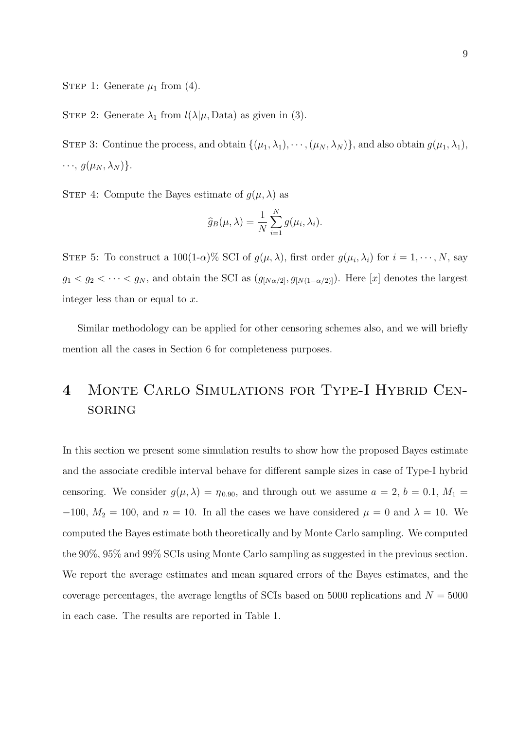STEP 1: Generate  $\mu_1$  from (4).

STEP 2: Generate  $\lambda_1$  from  $l(\lambda|\mu, \text{Data})$  as given in (3).

STEP 3: Continue the process, and obtain  $\{(\mu_1, \lambda_1), \dots, (\mu_N, \lambda_N)\}\)$ , and also obtain  $g(\mu_1, \lambda_1)$ ,  $\cdots$ ,  $g(\mu_N, \lambda_N)$ .

STEP 4: Compute the Bayes estimate of  $g(\mu, \lambda)$  as

$$
\widehat{g}_B(\mu,\lambda) = \frac{1}{N} \sum_{i=1}^N g(\mu_i,\lambda_i).
$$

STEP 5: To construct a  $100(1-\alpha)\%$  SCI of  $g(\mu, \lambda)$ , first order  $g(\mu_i, \lambda_i)$  for  $i = 1, \dots, N$ , say  $g_1 < g_2 < \cdots < g_N$ , and obtain the SCI as  $(g_{[N\alpha/2]}, g_{[N(1-\alpha/2)]})$ . Here [*x*] denotes the largest integer less than or equal to *x*.

Similar methodology can be applied for other censoring schemes also, and we will briefly mention all the cases in Section 6 for completeness purposes.

# **4** Monte Carlo Simulations for Type-I Hybrid Censoring

In this section we present some simulation results to show how the proposed Bayes estimate and the associate credible interval behave for different sample sizes in case of Type-I hybrid censoring. We consider  $g(\mu, \lambda) = \eta_{0.90}$ , and through out we assume  $a = 2, b = 0.1, M_1 =$  $-100$ ,  $M_2 = 100$ , and  $n = 10$ . In all the cases we have considered  $\mu = 0$  and  $\lambda = 10$ . We computed the Bayes estimate both theoretically and by Monte Carlo sampling. We computed the 90%, 95% and 99% SCIs using Monte Carlo sampling as suggested in the previous section. We report the average estimates and mean squared errors of the Bayes estimates, and the coverage percentages, the average lengths of SCIs based on 5000 replications and  $N = 5000$ in each case. The results are reported in Table 1.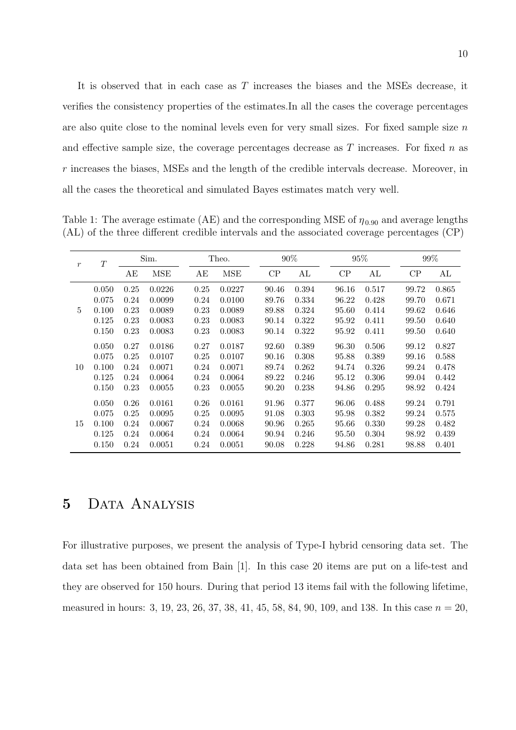It is observed that in each case as *T* increases the biases and the MSEs decrease, it verifies the consistency properties of the estimates.In all the cases the coverage percentages are also quite close to the nominal levels even for very small sizes. For fixed sample size *n* and effective sample size, the coverage percentages decrease as *T* increases. For fixed *n* as *r* increases the biases, MSEs and the length of the credible intervals decrease. Moreover, in all the cases the theoretical and simulated Bayes estimates match very well.

Table 1: The average estimate (AE) and the corresponding MSE of  $\eta_{0.90}$  and average lengths (AL) of the three different credible intervals and the associated coverage percentages (CP)

| $\boldsymbol{r}$ | T                                         | Sim.                                 |                                                | Theo.                                |                                                | 90%                                       |                                           | 95%                                       |                                           | 99%                                       |                                           |
|------------------|-------------------------------------------|--------------------------------------|------------------------------------------------|--------------------------------------|------------------------------------------------|-------------------------------------------|-------------------------------------------|-------------------------------------------|-------------------------------------------|-------------------------------------------|-------------------------------------------|
|                  |                                           | AЕ                                   | <b>MSE</b>                                     | AЕ                                   | <b>MSE</b>                                     | CP                                        | AL                                        | CP                                        | AL                                        | CP                                        | AL                                        |
| 5                | 0.050<br>0.075<br>0.100<br>0.125<br>0.150 | 0.25<br>0.24<br>0.23<br>0.23<br>0.23 | 0.0226<br>0.0099<br>0.0089<br>0.0083<br>0.0083 | 0.25<br>0.24<br>0.23<br>0.23<br>0.23 | 0.0227<br>0.0100<br>0.0089<br>0.0083<br>0.0083 | 90.46<br>89.76<br>89.88<br>90.14<br>90.14 | 0.394<br>0.334<br>0.324<br>0.322<br>0.322 | 96.16<br>96.22<br>95.60<br>95.92<br>95.92 | 0.517<br>0.428<br>0.414<br>0.411<br>0.411 | 99.72<br>99.70<br>99.62<br>99.50<br>99.50 | 0.865<br>0.671<br>0.646<br>0.640<br>0.640 |
| 10               | 0.050<br>0.075<br>0.100<br>0.125<br>0.150 | 0.27<br>0.25<br>0.24<br>0.24<br>0.23 | 0.0186<br>0.0107<br>0.0071<br>0.0064<br>0.0055 | 0.27<br>0.25<br>0.24<br>0.24<br>0.23 | 0.0187<br>0.0107<br>0.0071<br>0.0064<br>0.0055 | 92.60<br>90.16<br>89.74<br>89.22<br>90.20 | 0.389<br>0.308<br>0.262<br>0.246<br>0.238 | 96.30<br>95.88<br>94.74<br>95.12<br>94.86 | 0.506<br>0.389<br>0.326<br>0.306<br>0.295 | 99.12<br>99.16<br>99.24<br>99.04<br>98.92 | 0.827<br>0.588<br>0.478<br>0.442<br>0.424 |
| 15               | 0.050<br>0.075<br>0.100<br>0.125<br>0.150 | 0.26<br>0.25<br>0.24<br>0.24<br>0.24 | 0.0161<br>0.0095<br>0.0067<br>0.0064<br>0.0051 | 0.26<br>0.25<br>0.24<br>0.24<br>0.24 | 0.0161<br>0.0095<br>0.0068<br>0.0064<br>0.0051 | 91.96<br>91.08<br>90.96<br>90.94<br>90.08 | 0.377<br>0.303<br>0.265<br>0.246<br>0.228 | 96.06<br>95.98<br>95.66<br>95.50<br>94.86 | 0.488<br>0.382<br>0.330<br>0.304<br>0.281 | 99.24<br>99.24<br>99.28<br>98.92<br>98.88 | 0.791<br>0.575<br>0.482<br>0.439<br>0.401 |

# **5** Data Analysis

For illustrative purposes, we present the analysis of Type-I hybrid censoring data set. The data set has been obtained from Bain [1]. In this case 20 items are put on a life-test and they are observed for 150 hours. During that period 13 items fail with the following lifetime, measured in hours: 3, 19, 23, 26, 37, 38, 41, 45, 58, 84, 90, 109, and 138. In this case *n* = 20,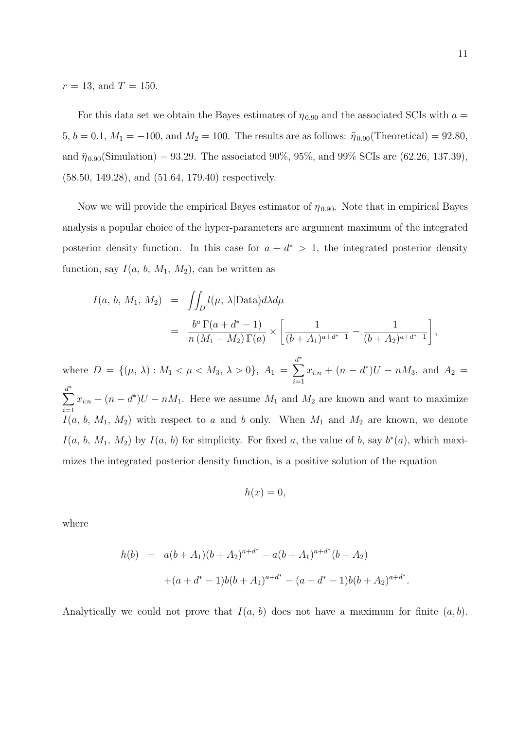$r = 13$ , and  $T = 150$ .

For this data set we obtain the Bayes estimates of  $\eta_{0.90}$  and the associated SCIs with  $a =$ 5,  $b = 0.1$ ,  $M_1 = -100$ , and  $M_2 = 100$ . The results are as follows:  $\hat{\eta}_{0.90}$ (Theoretical) = 92.80, and  $\hat{\eta}_{0.90}(\text{Simulation}) = 93.29$ . The associated 90%, 95%, and 99% SCIs are (62.26, 137.39), (58*.*50*,* 149*.*28), and (51*.*64*,* 179*.*40) respectively.

Now we will provide the empirical Bayes estimator of  $\eta_{0.90}$ . Note that in empirical Bayes analysis a popular choice of the hyper-parameters are argument maximum of the integrated posterior density function. In this case for  $a + d^* > 1$ , the integrated posterior density function, say  $I(a, b, M_1, M_2)$ , can be written as

$$
I(a, b, M_1, M_2) = \iint_D l(\mu, \lambda | \text{Data}) d\lambda d\mu
$$
  
= 
$$
\frac{b^a \Gamma(a + d^* - 1)}{n (M_1 - M_2) \Gamma(a)} \times \left[ \frac{1}{(b + A_1)^{a + d^* - 1}} - \frac{1}{(b + A_2)^{a + d^* - 1}} \right],
$$

where  $D = \{(\mu, \lambda) : M_1 < \mu < M_3, \lambda > 0\}, A_1 =$ *d* ∑*∗ i*=1  $x_{i:n} + (n - d^*)U - nM_3$ , and  $A_2 =$ *d* ∑*∗ i*=1  $x_{i:n} + (n - d^*)U - nM_1$ . Here we assume  $M_1$  and  $M_2$  are known and want to maximize  $I(a, b, M_1, M_2)$  with respect to *a* and *b* only. When  $M_1$  and  $M_2$  are known, we denote *I*(*a*, *b*, *M*<sub>1</sub>, *M*<sub>2</sub>) by *I*(*a*, *b*) for simplicity. For fixed *a*, the value of *b*, say  $b^*(a)$ , which maximizes the integrated posterior density function, is a positive solution of the equation

$$
h(x) = 0,
$$

where

$$
h(b) = a(b+A_1)(b+A_2)^{a+d^*} - a(b+A_1)^{a+d^*}(b+A_2)
$$
  
+
$$
(a+d^*-1)b(b+A_1)^{a+d^*} - (a+d^*-1)b(b+A_2)^{a+d^*}.
$$

Analytically we could not prove that *I*(*a, b*) does not have a maximum for finite (*a, b*).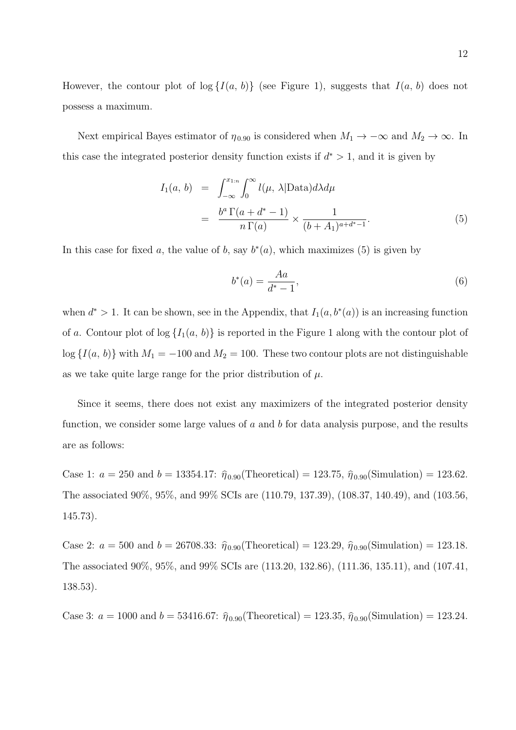However, the contour plot of  $log\{I(a, b)\}$  (see Figure 1), suggests that  $I(a, b)$  does not possess a maximum.

Next empirical Bayes estimator of  $\eta_{0.90}$  is considered when  $M_1 \to -\infty$  and  $M_2 \to \infty$ . In this case the integrated posterior density function exists if  $d^* > 1$ , and it is given by

$$
I_1(a, b) = \int_{-\infty}^{x_{1:n}} \int_0^{\infty} l(\mu, \lambda | \text{Data}) d\lambda d\mu
$$
  
= 
$$
\frac{b^a \Gamma(a + d^* - 1)}{n \Gamma(a)} \times \frac{1}{(b + A_1)^{a + d^* - 1}}.
$$
 (5)

In this case for fixed *a*, the value of *b*, say  $b^*(a)$ , which maximizes (5) is given by

$$
b^*(a) = \frac{Aa}{d^*-1},
$$
\n(6)

when  $d^* > 1$ . It can be shown, see in the Appendix, that  $I_1(a, b^*(a))$  is an increasing function of *a*. Contour plot of  $log\{I_1(a, b)\}\$ is reported in the Figure 1 along with the contour plot of  $\log \{I(a, b)\}\$  with  $M_1 = -100$  and  $M_2 = 100$ . These two contour plots are not distinguishable as we take quite large range for the prior distribution of *µ*.

Since it seems, there does not exist any maximizers of the integrated posterior density function, we consider some large values of *a* and *b* for data analysis purpose, and the results are as follows:

Case 1:  $a = 250$  and  $b = 13354.17$ :  $\hat{\eta}_{0.90}(\text{Theoretical}) = 123.75$ ,  $\hat{\eta}_{0.90}(\text{Simulation}) = 123.62$ . The associated 90%, 95%, and 99% SCIs are (110.79, 137.39), (108.37, 140.49), and (103.56, 145.73).

Case 2:  $a = 500$  and  $b = 26708.33$ :  $\hat{\eta}_{0.90}$ (Theoretical) = 123.29,  $\hat{\eta}_{0.90}$ (Simulation) = 123.18. The associated 90%, 95%, and 99% SCIs are (113.20, 132.86), (111.36, 135.11), and (107.41, 138.53).

Case 3:  $a = 1000$  and  $b = 53416.67$ :  $\hat{\eta}_{0.90}$ (Theoretical) = 123.35,  $\hat{\eta}_{0.90}$ (Simulation) = 123.24.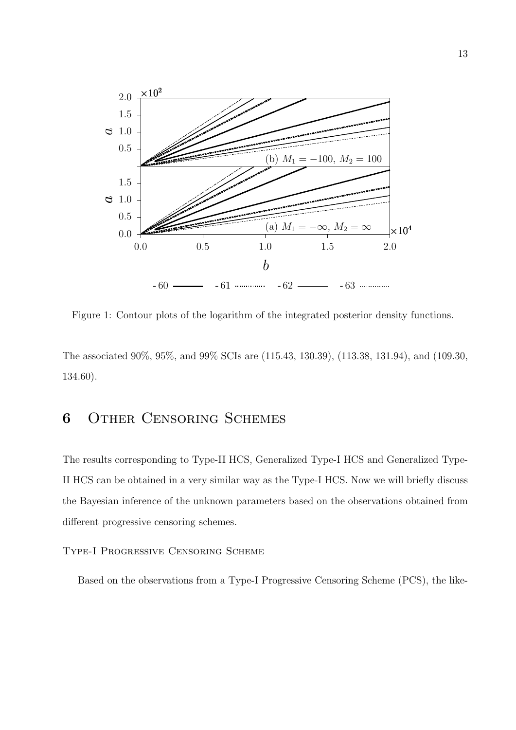

Figure 1: Contour plots of the logarithm of the integrated posterior density functions.

The associated 90%, 95%, and 99% SCIs are (115.43, 130.39), (113.38, 131.94), and (109.30, 134.60).

## **6** Other Censoring Schemes

The results corresponding to Type-II HCS, Generalized Type-I HCS and Generalized Type-II HCS can be obtained in a very similar way as the Type-I HCS. Now we will briefly discuss the Bayesian inference of the unknown parameters based on the observations obtained from different progressive censoring schemes.

Type-I Progressive Censoring Scheme

Based on the observations from a Type-I Progressive Censoring Scheme (PCS), the like-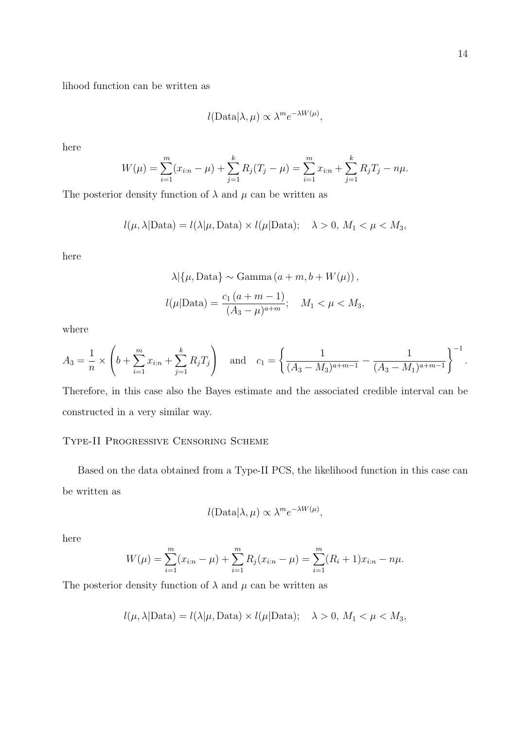lihood function can be written as

$$
l(\text{Data}|\lambda,\mu) \propto \lambda^m e^{-\lambda W(\mu)},
$$

here

$$
W(\mu) = \sum_{i=1}^{m} (x_{i:n} - \mu) + \sum_{j=1}^{k} R_j (T_j - \mu) = \sum_{i=1}^{m} x_{i:n} + \sum_{j=1}^{k} R_j T_j - n\mu.
$$

The posterior density function of  $\lambda$  and  $\mu$  can be written as

$$
l(\mu, \lambda | \text{Data}) = l(\lambda | \mu, \text{Data}) \times l(\mu | \text{Data}); \quad \lambda > 0, M_1 < \mu < M_3,
$$

here

$$
\lambda | \{ \mu, \text{Data} \} \sim \text{Gamma} \left( a + m, b + W(\mu) \right),
$$
  

$$
l(\mu | \text{Data}) = \frac{c_1 \left( a + m - 1 \right)}{(A_3 - \mu)^{a + m}}; \quad M_1 < \mu < M_3,
$$

where

$$
A_3 = \frac{1}{n} \times \left( b + \sum_{i=1}^m x_{i:n} + \sum_{j=1}^k R_j T_j \right) \quad \text{and} \quad c_1 = \left\{ \frac{1}{(A_3 - M_3)^{a+m-1}} - \frac{1}{(A_3 - M_1)^{a+m-1}} \right\}^{-1}.
$$

Therefore, in this case also the Bayes estimate and the associated credible interval can be constructed in a very similar way.

### Type-II Progressive Censoring Scheme

Based on the data obtained from a Type-II PCS, the likelihood function in this case can be written as

$$
l(\text{Data}|\lambda,\mu) \propto \lambda^m e^{-\lambda W(\mu)},
$$

here

$$
W(\mu) = \sum_{i=1}^{m} (x_{i:n} - \mu) + \sum_{i=1}^{m} R_j (x_{i:n} - \mu) = \sum_{i=1}^{m} (R_i + 1) x_{i:n} - n\mu.
$$

The posterior density function of  $\lambda$  and  $\mu$  can be written as

$$
l(\mu, \lambda | \text{Data}) = l(\lambda | \mu, \text{Data}) \times l(\mu | \text{Data}); \quad \lambda > 0, M_1 < \mu < M_3,
$$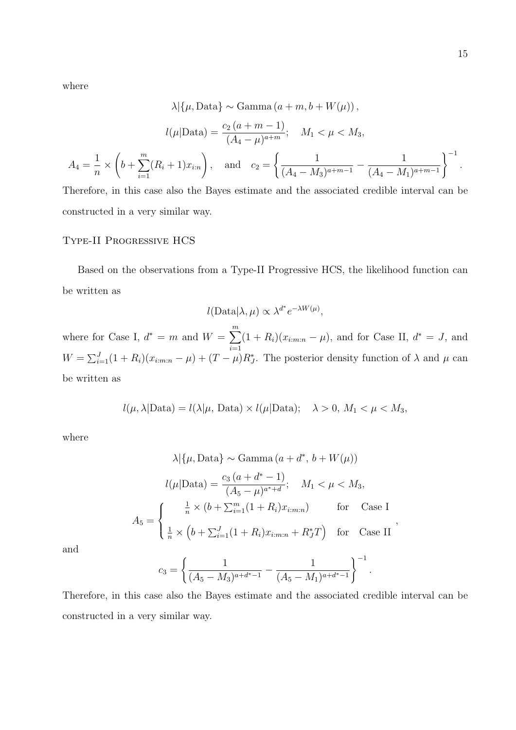where

$$
\lambda | \{ \mu, \text{Data} \} \sim \text{Gamma} \left( a + m, b + W(\mu) \right),
$$

$$
l(\mu | \text{Data}) = \frac{c_2 \left( a + m - 1 \right)}{(A_4 - \mu)^{a + m}}; \quad M_1 < \mu < M_3,
$$

$$
A_4 = \frac{1}{n} \times \left( b + \sum_{i=1}^m (R_i + 1) x_{i:n} \right), \quad \text{and} \quad c_2 = \left\{ \frac{1}{(A_4 - M_3)^{a + m - 1}} - \frac{1}{(A_4 - M_1)^{a + m - 1}} \right\}^{-1}.
$$

Therefore, in this case also the Bayes estimate and the associated credible interval can be constructed in a very similar way.

### Type-II Progressive HCS

Based on the observations from a Type-II Progressive HCS, the likelihood function can be written as

$$
l(\text{Data}|\lambda,\mu) \propto \lambda^{d^*} e^{-\lambda W(\mu)},
$$

where for Case I,  $d^* = m$  and  $W = \sum_{n=1}^{m}$ *i*=1  $(1 + R_i)(x_{i:m:n} - \mu)$ , and for Case II,  $d^* = J$ , and  $W = \sum_{i=1}^{J} (1 + R_i)(x_{i:m:n} - \mu) + (T - \mu)R_J^*$ . The posterior density function of  $\lambda$  and  $\mu$  can be written as

$$
l(\mu, \lambda | \text{Data}) = l(\lambda | \mu, \text{Data}) \times l(\mu | \text{Data}); \quad \lambda > 0, M_1 < \mu < M_3,
$$

where

$$
\lambda | \{ \mu, \text{Data} \} \sim \text{Gamma} \left( a + d^*, \, b + W(\mu) \right)
$$

$$
l(\mu | \text{Data}) = \frac{c_3 \left( a + d^* - 1 \right)}{(A_5 - \mu)^{a^* + d}}; \quad M_1 < \mu < M_3,
$$

$$
A_5 = \begin{cases} \frac{1}{n} \times \left( b + \sum_{i=1}^m (1 + R_i) x_{i:m:n} \right) & \text{for} \quad \text{Case I} \\ \frac{1}{n} \times \left( b + \sum_{i=1}^J (1 + R_i) x_{i:m:n} + R_J^* T \right) & \text{for} \quad \text{Case II} \end{cases}
$$

*,*

and

$$
c_3 = \left\{ \frac{1}{(A_5 - M_3)^{a+d^* - 1}} - \frac{1}{(A_5 - M_1)^{a+d^* - 1}} \right\}^{-1}.
$$

Therefore, in this case also the Bayes estimate and the associated credible interval can be constructed in a very similar way.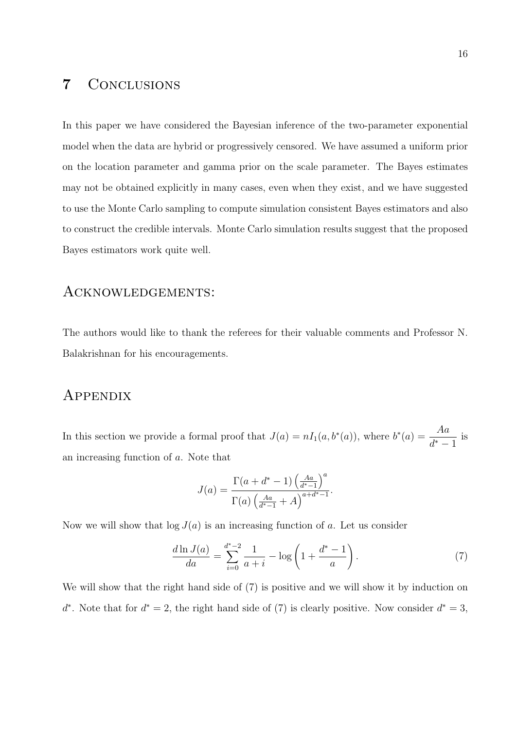## **7** Conclusions

In this paper we have considered the Bayesian inference of the two-parameter exponential model when the data are hybrid or progressively censored. We have assumed a uniform prior on the location parameter and gamma prior on the scale parameter. The Bayes estimates may not be obtained explicitly in many cases, even when they exist, and we have suggested to use the Monte Carlo sampling to compute simulation consistent Bayes estimators and also to construct the credible intervals. Monte Carlo simulation results suggest that the proposed Bayes estimators work quite well.

## Acknowledgements:

The authors would like to thank the referees for their valuable comments and Professor N. Balakrishnan for his encouragements.

## Appendix

In this section we provide a formal proof that  $J(a) = nI_1(a, b^*(a))$ , where  $b^*(a) = \frac{Aa}{A^*}$ *d <sup>∗</sup> −* 1 is an increasing function of *a*. Note that

$$
J(a) = \frac{\Gamma(a + d^* - 1) \left(\frac{Aa}{d^* - 1}\right)^a}{\Gamma(a) \left(\frac{Aa}{d^* - 1} + A\right)^{a + d^* - 1}}.
$$

Now we will show that  $log J(a)$  is an increasing function of *a*. Let us consider

$$
\frac{d\ln J(a)}{da} = \sum_{i=0}^{d^*-2} \frac{1}{a+i} - \log\left(1 + \frac{d^*-1}{a}\right). \tag{7}
$$

We will show that the right hand side of  $(7)$  is positive and we will show it by induction on *d*<sup>\*</sup>. Note that for  $d^* = 2$ , the right hand side of (7) is clearly positive. Now consider  $d^* = 3$ ,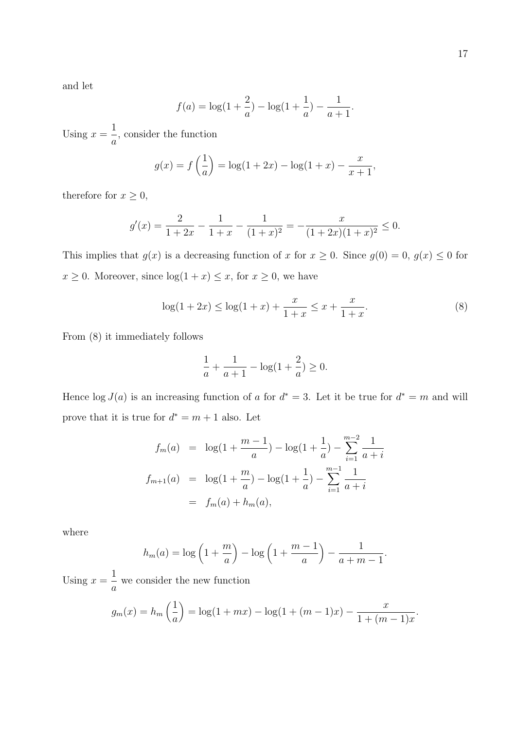and let

$$
f(a) = \log(1 + \frac{2}{a}) - \log(1 + \frac{1}{a}) - \frac{1}{a+1}
$$

Using  $x =$ 1 *a* , consider the function

$$
g(x) = f\left(\frac{1}{a}\right) = \log(1 + 2x) - \log(1 + x) - \frac{x}{x+1},
$$

therefore for  $x \geq 0$ ,

$$
g'(x) = \frac{2}{1+2x} - \frac{1}{1+x} - \frac{1}{(1+x)^2} = -\frac{x}{(1+2x)(1+x)^2} \le 0.
$$

This implies that  $g(x)$  is a decreasing function of *x* for  $x \ge 0$ . Since  $g(0) = 0$ ,  $g(x) \le 0$  for  $x \geq 0$ . Moreover, since  $\log(1 + x) \leq x$ , for  $x \geq 0$ , we have

$$
\log(1+2x) \le \log(1+x) + \frac{x}{1+x} \le x + \frac{x}{1+x}.\tag{8}
$$

*.*

From (8) it immediately follows

$$
\frac{1}{a} + \frac{1}{a+1} - \log(1 + \frac{2}{a}) \ge 0.
$$

Hence  $\log J(a)$  is an increasing function of *a* for  $d^* = 3$ . Let it be true for  $d^* = m$  and will prove that it is true for  $d^* = m + 1$  also. Let

$$
f_m(a) = \log(1 + \frac{m-1}{a}) - \log(1 + \frac{1}{a}) - \sum_{i=1}^{m-2} \frac{1}{a+i}
$$
  

$$
f_{m+1}(a) = \log(1 + \frac{m}{a}) - \log(1 + \frac{1}{a}) - \sum_{i=1}^{m-1} \frac{1}{a+i}
$$
  

$$
= f_m(a) + h_m(a),
$$

where

$$
h_m(a) = \log \left(1 + \frac{m}{a}\right) - \log \left(1 + \frac{m-1}{a}\right) - \frac{1}{a+m-1}.
$$

Using  $x =$ 1 *a* we consider the new function

$$
g_m(x) = h_m\left(\frac{1}{a}\right) = \log(1 + mx) - \log(1 + (m - 1)x) - \frac{x}{1 + (m - 1)x}.
$$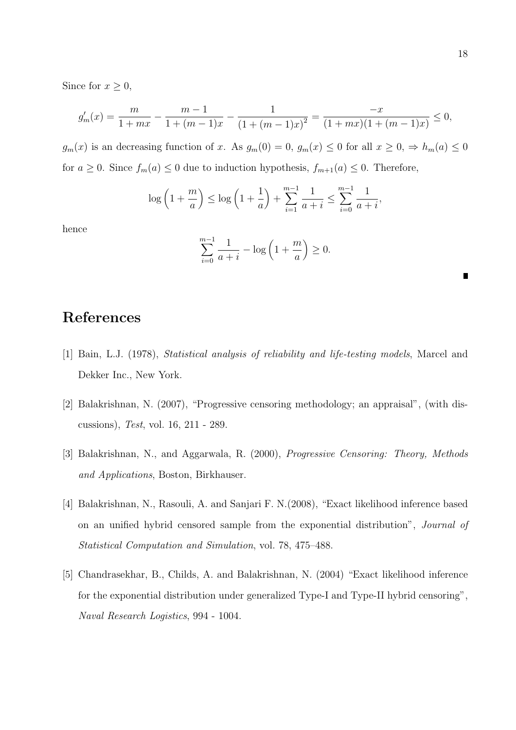Since for  $x \geq 0$ ,

$$
g'_m(x) = \frac{m}{1+mx} - \frac{m-1}{1+(m-1)x} - \frac{1}{(1+(m-1)x)^2} = \frac{-x}{(1+mx)(1+(m-1)x)} \le 0,
$$

*g*<sup>*m*</sup>(*x*) is an decreasing function of *x*. As  $g_m(0) = 0$ ,  $g_m(x) \le 0$  for all  $x \ge 0$ ,  $\Rightarrow h_m(a) \le 0$ for  $a \geq 0$ . Since  $f_m(a) \leq 0$  due to induction hypothesis,  $f_{m+1}(a) \leq 0$ . Therefore,

$$
\log\left(1+\frac{m}{a}\right) \le \log\left(1+\frac{1}{a}\right) + \sum_{i=1}^{m-1} \frac{1}{a+i} \le \sum_{i=0}^{m-1} \frac{1}{a+i},
$$

hence

$$
\sum_{i=0}^{m-1} \frac{1}{a+i} - \log\left(1 + \frac{m}{a}\right) \ge 0.
$$

## **References**

- [1] Bain, L.J. (1978), *Statistical analysis of reliability and life-testing models*, Marcel and Dekker Inc., New York.
- [2] Balakrishnan, N. (2007), "Progressive censoring methodology; an appraisal", (with discussions), *Test*, vol. 16, 211 - 289.
- [3] Balakrishnan, N., and Aggarwala, R. (2000), *Progressive Censoring: Theory, Methods and Applications*, Boston, Birkhauser.
- [4] Balakrishnan, N., Rasouli, A. and Sanjari F. N.(2008), "Exact likelihood inference based on an unified hybrid censored sample from the exponential distribution", *Journal of Statistical Computation and Simulation*, vol. 78, 475–488.
- [5] Chandrasekhar, B., Childs, A. and Balakrishnan, N. (2004) "Exact likelihood inference for the exponential distribution under generalized Type-I and Type-II hybrid censoring", *Naval Research Logistics*, 994 - 1004.

п